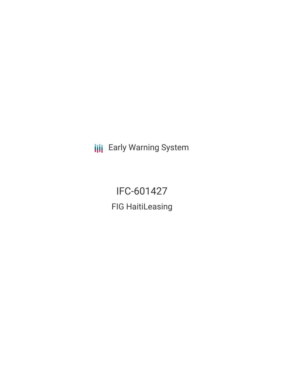**III** Early Warning System

IFC-601427 FIG HaitiLeasing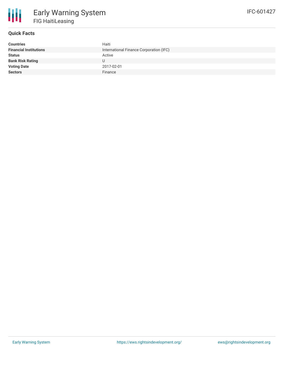

## **Quick Facts**

| <b>Countries</b>              | Haiti                                   |
|-------------------------------|-----------------------------------------|
| <b>Financial Institutions</b> | International Finance Corporation (IFC) |
| <b>Status</b>                 | Active                                  |
| <b>Bank Risk Rating</b>       |                                         |
| <b>Voting Date</b>            | 2017-02-01                              |
| <b>Sectors</b>                | Finance                                 |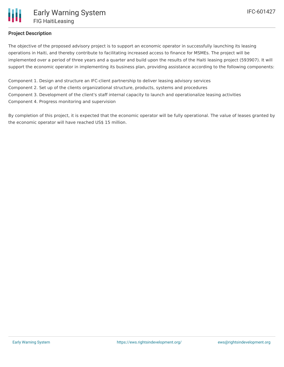

## **Project Description**

The objective of the proposed advisory project is to support an economic operator in successfully launching its leasing operations in Haiti, and thereby contribute to facilitating increased access to finance for MSMEs. The project will be implemented over a period of three years and a quarter and build upon the results of the Haiti leasing project (593907). It will support the economic operator in implementing its business plan, providing assistance according to the following components:

Component 1. Design and structure an IFC-client partnership to deliver leasing advisory services Component 2. Set up of the clients organizational structure, products, systems and procedures Component 3. Development of the client's staff internal capacity to launch and operationalize leasing activities Component 4. Progress monitoring and supervision

By completion of this project, it is expected that the economic operator will be fully operational. The value of leases granted by the economic operator will have reached US\$ 15 million.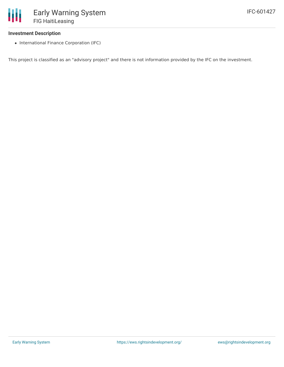## **Investment Description**

• International Finance Corporation (IFC)

This project is classified as an "advisory project" and there is not information provided by the IFC on the investment.